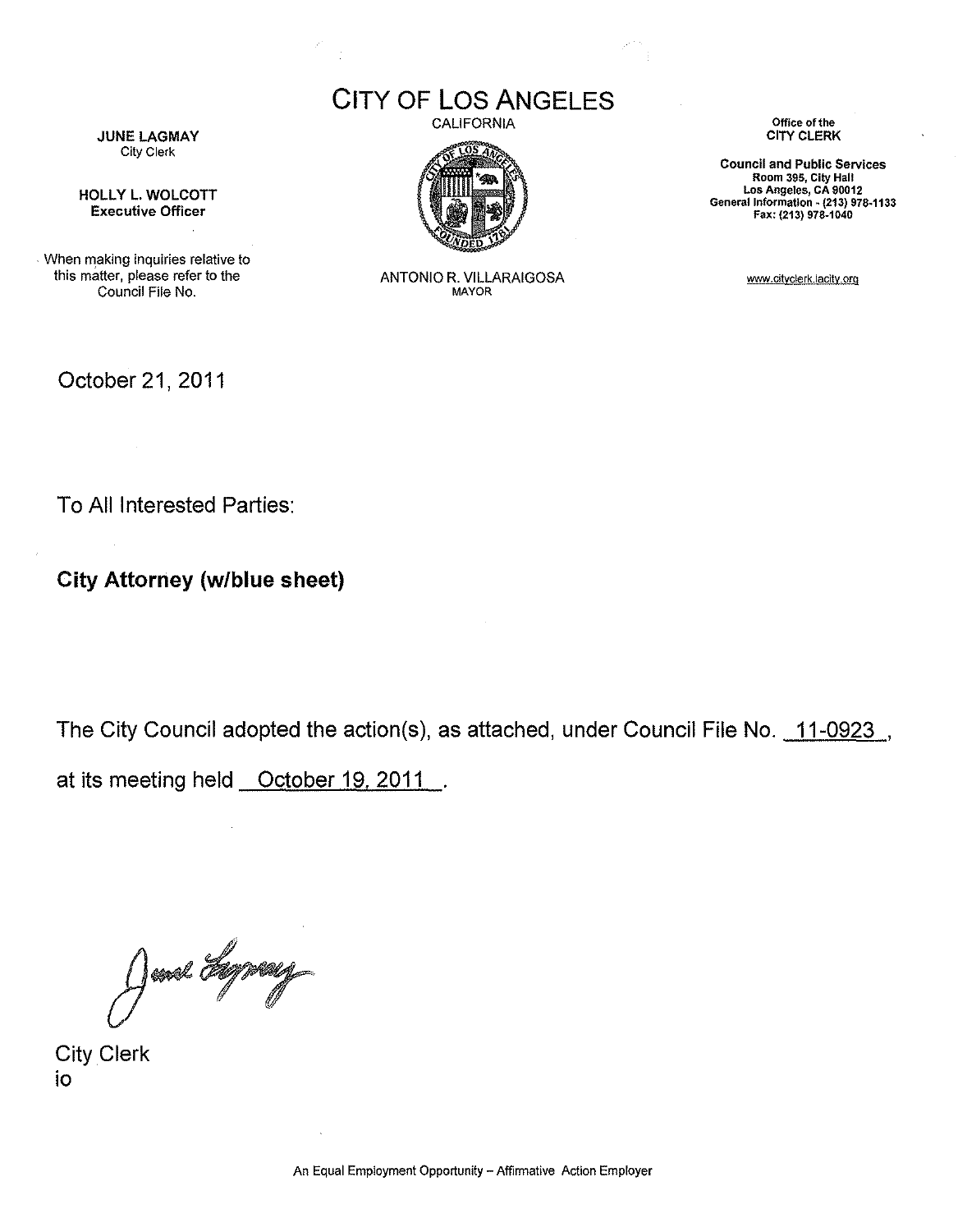**JUNE LAGMAY** City Clerk

HOLLY L. WOLCOTT Executive Officer

When making inquiries relative to this matter, please refer to the Council File No.

October 21, 2011

To All Interested Parties:

**City Attorney (w/blue sheet)** 

The City Council adopted the action(s), as attached, under Council File No. 11-0923.

at its meeting held October 19, 2011.

June Lynny

City Clerk io

CITY OF **LOS** ANGELES CALIFORNIA



ANTONIO R. VILLARAIGOSA MAYOR

**Office of the**  CITY CLERK

**Council and Public Services Room 395, City Hall Los Angeles, CA 90012 General** Information~ **(213)** 978~1133 Fax: (213) 978-1040

www.cityclerk.lacity.org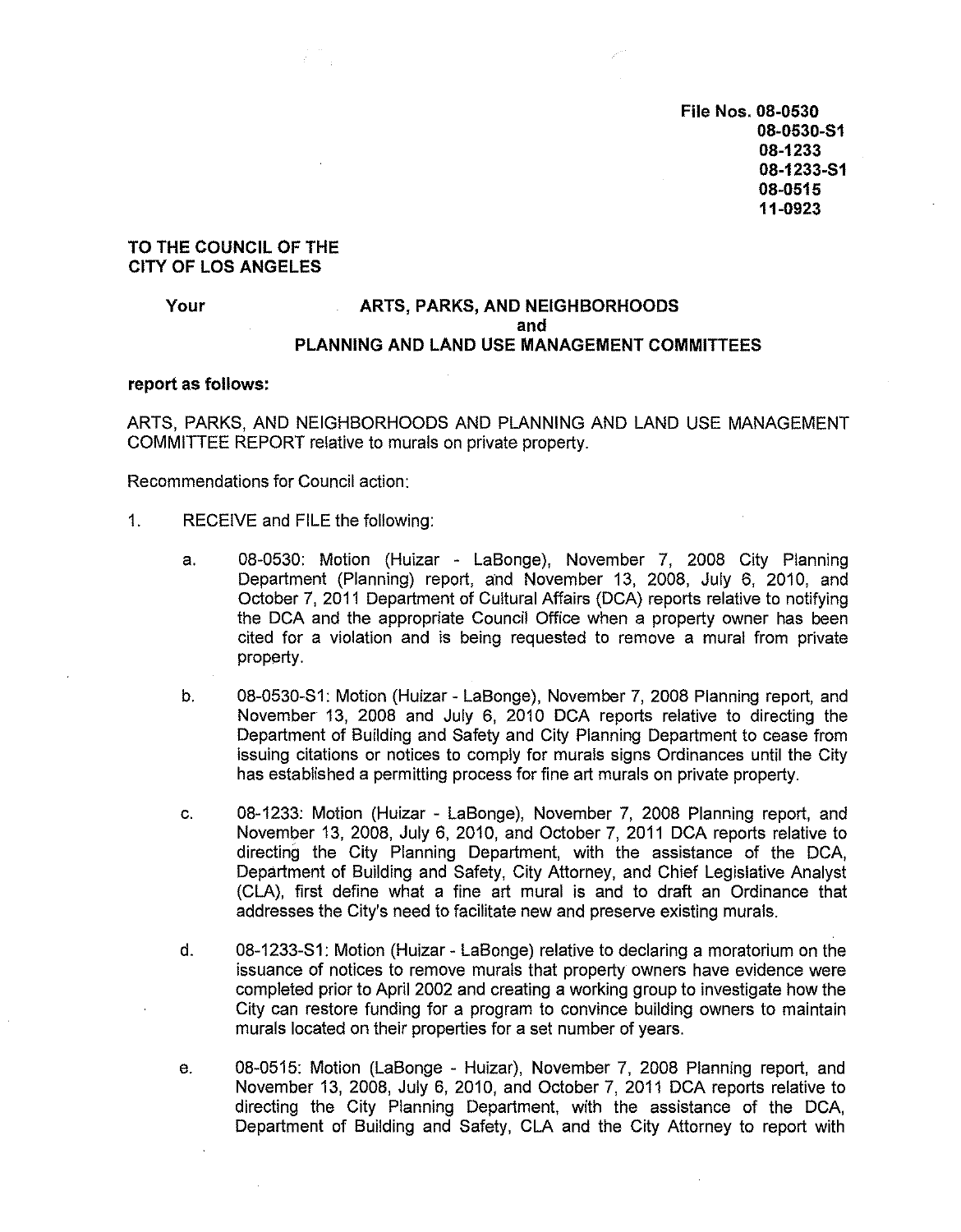**File Nos. 08-0530 08-0530-S1 08-1233 08-1233-S1 08-0515 11-0923** 

#### **TO THE COUNCIL OF THE CITY OF LOS ANGELES**

### Your **ARTS, PARKS, AND NEIGHBORHOODS and PLANNING AND LAND USE MANAGEMENT COMMITTEES**

#### **report as follows:**

ARTS, PARKS, AND NEIGHBORHOODS AND PLANNING AND LAND USE MANAGEMENT COMMITTEE REPORT relative to murals on private property.

Recommendations for Council action:

- 1. RECEIVE and FILE the following:
	- a. 08-0530: Motion (Huizar LaBonge), November 7, 2008 City Planning Department (Planning) report, and November 13, 2008, July 6, 2010, and October 7, 2011 Department of Cultural Affairs (DCA) reports relative to notifying the DCA and the appropriate Council Office when a property owner has been cited for a violation and is being requested to remove a mural from private property.
	- b. 08-0530-S1: Motion (Huizar- LaBonge), November 7, 2008 Planning report, and November 13, 2008 and July 6, 2010 DCA reports relative to directing the Department of Building and Safety and City Planning Department to cease from issuing citations or notices to comply for murals signs Ordinances until the City has established a permitting process for fine art murals on private property.
	- c. 08-1233: Motion (Huizar LaBonge), November 7, 2008 Planning report, and November 13, 2008, July 6, 2010, and October 7, 2011 DCA reports relative to directing the City Planning Department, with the assistance of the DCA, Department of Building and Safety, City Attorney, and Chief Legislative Analyst (CLA), first define what a fine art mural is and to draft an Ordinance that addresses the City's need to facilitate new and preserve existing murals.
	- d. 08-1233-S1: Motion (Huizar- LaBonge) relative to declaring a moratorium on the issuance of notices to remove murals that property owners have evidence were completed prior to April 2002 and creating a working group to investigate how the City can restore funding for a program to convince building owners to maintain murals located on their properties for a set number of years.
	- e. 08-0515: Motion (LaBonge Huizar), November 7, 2008 Planning report, and November 13, 2008, July 6, 2010, and October 7, 2011 DCA reports relative to directing the City Planning Department, with the assistance of the DCA, Department of Building and Safety, CLA and the City Attorney to report with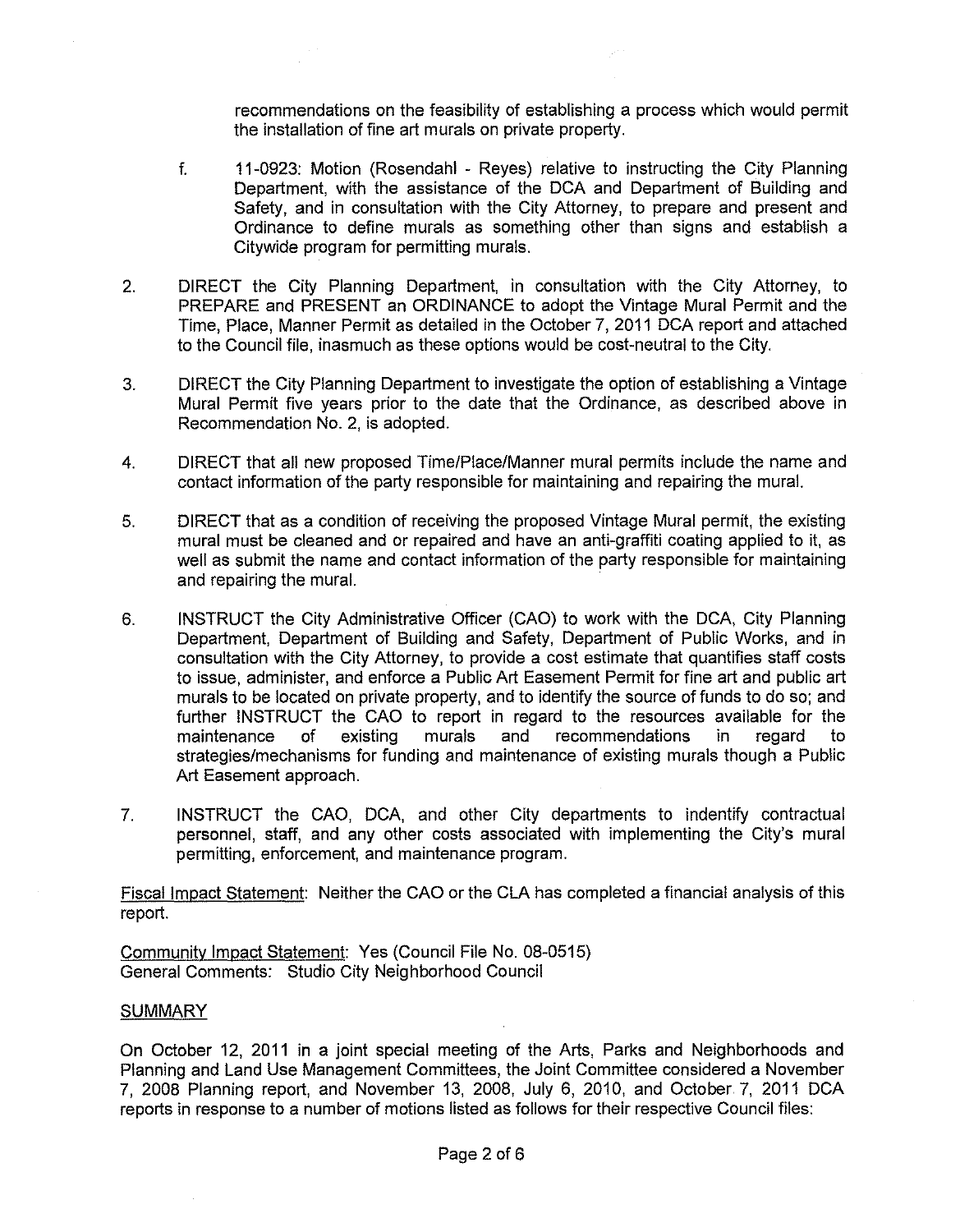recommendations on the feasibility of establishing a process which would permit the installation of fine art murals on private property.

- f. 11-0923: Motion (Rosendahl Reyes) relative to instructing the City Planning Department, with the assistance of the DCA and Department of Building and Safety, and in consultation with the City Attorney, to prepare and present and Ordinance to define murals as something other than signs and establish a Citywide program for permitting murals.
- 2. DIRECT the City Planning Department, in consultation with the City Attorney, to PREPARE and PRESENT an ORDINANCE to adopt the Vintage Mural Permit and the Time, Place, Manner Permit as detailed in the October 7, 2011 DCA report and attached to the Council file, inasmuch as these options would be cost-neutral to the City.
- 3. DIRECT the City Planning Department to investigate the option of establishing a Vintage Mural Permit five years prior to the date that the Ordinance, as described above in Recommendation No. 2, is adopted.
- 4. DIRECT that all new proposed Time/Place/Manner mural permits include the name and contact information of the party responsible for maintaining and repairing the mural.
- 5. DIRECT that as a condition of receiving the proposed Vintage Mural permit, the existing mural must be cleaned and or repaired and have an anti-graffiti coating applied to it, as well as submit the name and contact information of the party responsible for maintaining and repairing the mural.
- 6. INSTRUCT the City Administrative Officer (GAO) to work with the DCA, City Planning Department, Department of Building and Safety, Department of Public Works, and in consultation with the City Attorney, to provide a cost estimate that quantifies staff costs to issue, administer, and enforce a Public Art Easement Permit for fine art and public art murals to be located on private property, and to identify the source of funds to do so; and further INSTRUCT the GAO to report in regard to the resources available for the maintenance of existing murals and recommendations in regard to strategies/mechanisms for funding and maintenance of existing murals though a Public Art Easement approach.
- 7. INSTRUCT the GAO, DCA, and other City departments to indentify contractual personnel, staff, and any other costs associated with implementing the City's mural permitting, enforcement, and maintenance program.

Fiscal Impact Statement: Neither the GAO or the CLA has completed a financial analysis of this report.

Community Impact Statement: Yes (Council File No. 08-0515) General Comments: Studio City Neighborhood Council

#### SUMMARY

On October 12, 2011 in a joint special meeting of the Arts, Parks and Neighborhoods and Planning and Land Use Management Committees, the Joint Committee considered a November 7, 2008 Planning report, and November 13, 2008, July 6, 2010, and October 7, 2011 DCA reports in response to a number of motions listed as follows for their respective Council files: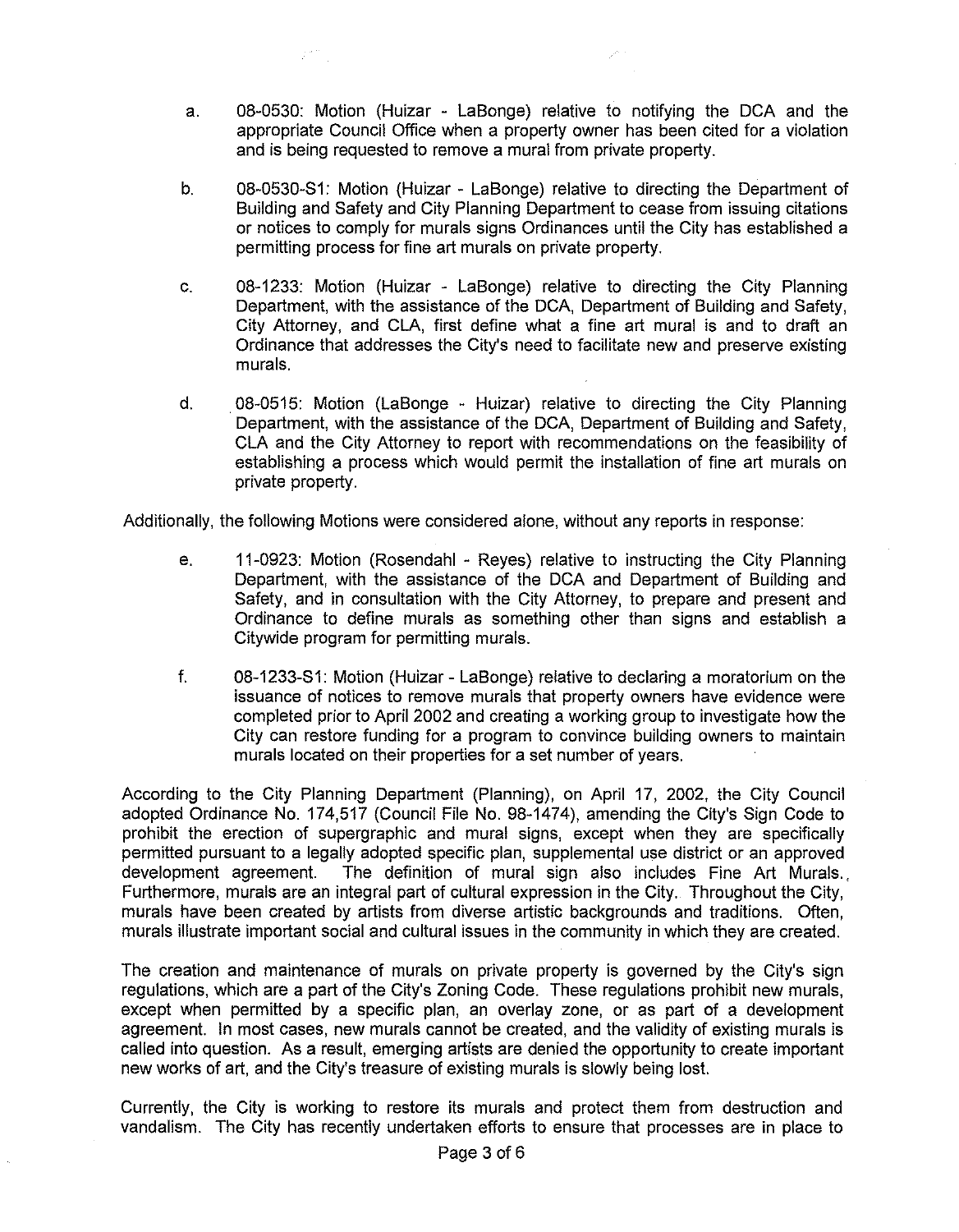a. 08-0530: Motion (Huizar - LaBonge) relative to notifying the DCA and the appropriate Council Office when a property owner has been cited for a violation and is being requested to remove a mural from private property.

 $\mathbb{R}^{n,m}$ 

- b. 08-0530-S1: Motion (Huizar LaBonge) relative to directing the Department of Building and Safety and City Planning Department to cease from issuing citations or notices to comply for murals signs Ordinances until the City has established a permitting process for fine art murals on private property.
- c. 08-1233: Motion (Huizar LaBonge) relative to directing the City Planning Department, with the assistance of the DCA, Department of Building and Safety, City Attorney, and CLA, first define what a fine art mural is and to draft an Ordinance that addresses the City's need to facilitate new and preserve existing murals.
- d. 08-0515: Motion (LaBonge Huizar) relative to directing the City Planning Department, with the assistance of the DCA, Department of Building and Safety, CLA and the City Attorney to report with recommendations on the feasibility of establishing a process which would permit the installation of fine art murals on private property.

Additionally, the following Motions were considered alone, without any reports in response:

- e. 11-0923: Motion (Rosendahl Reyes) relative to instructing the City Planning Department, with the assistance of the DCA and Department of Building and Safety, and in consultation with the City Attorney, to prepare and present and Ordinance to define murals as something other than signs and establish a Citywide program for permitting murals.
- f. 08-1233-S1: Motion (Huizar- LaBonge) relative to declaring a moratorium on the issuance of notices to remove murals that property owners have evidence were completed prior to April 2002 and creating a working group to investigate how the City can restore funding for a program to convince building owners to maintain murals located on their properties for a set number of years.

According to the City Planning Department (Planning), on April 17, 2002, the City Council adopted Ordinance No. 174,517 (Council File No. 98-1474), amending the City's Sign Code to prohibit the erection of supergraphic and mural signs, except when they are specifically permitted pursuant to a legally adopted specific plan, supplemental use district or an approved development agreement. The definition of mural sign also includes Fine Art Murals. Furthermore, murals are an integral part of cultural expression in the City. Throughout the City, murals have been created by artists from diverse artistic backgrounds and traditions. Often, murals illustrate important social and cultural issues in the community in which they are created.

The creation and maintenance of murals on private property is governed by the City's sign regulations, which are a part of the City's Zoning Code. These regulations prohibit new murals, except when permitted by a specific plan, an overlay zone, or as part of a development agreement. In most cases, new murals cannot be created, and the validity of existing murals is called into question. As a result, emerging artists are denied the opportunity to create important new works of art, and the City's treasure of existing murals is slowly being lost.

Currently, the City is working to restore its murals and protect them from destruction and vandalism. The City has recently undertaken efforts to ensure that processes are in place to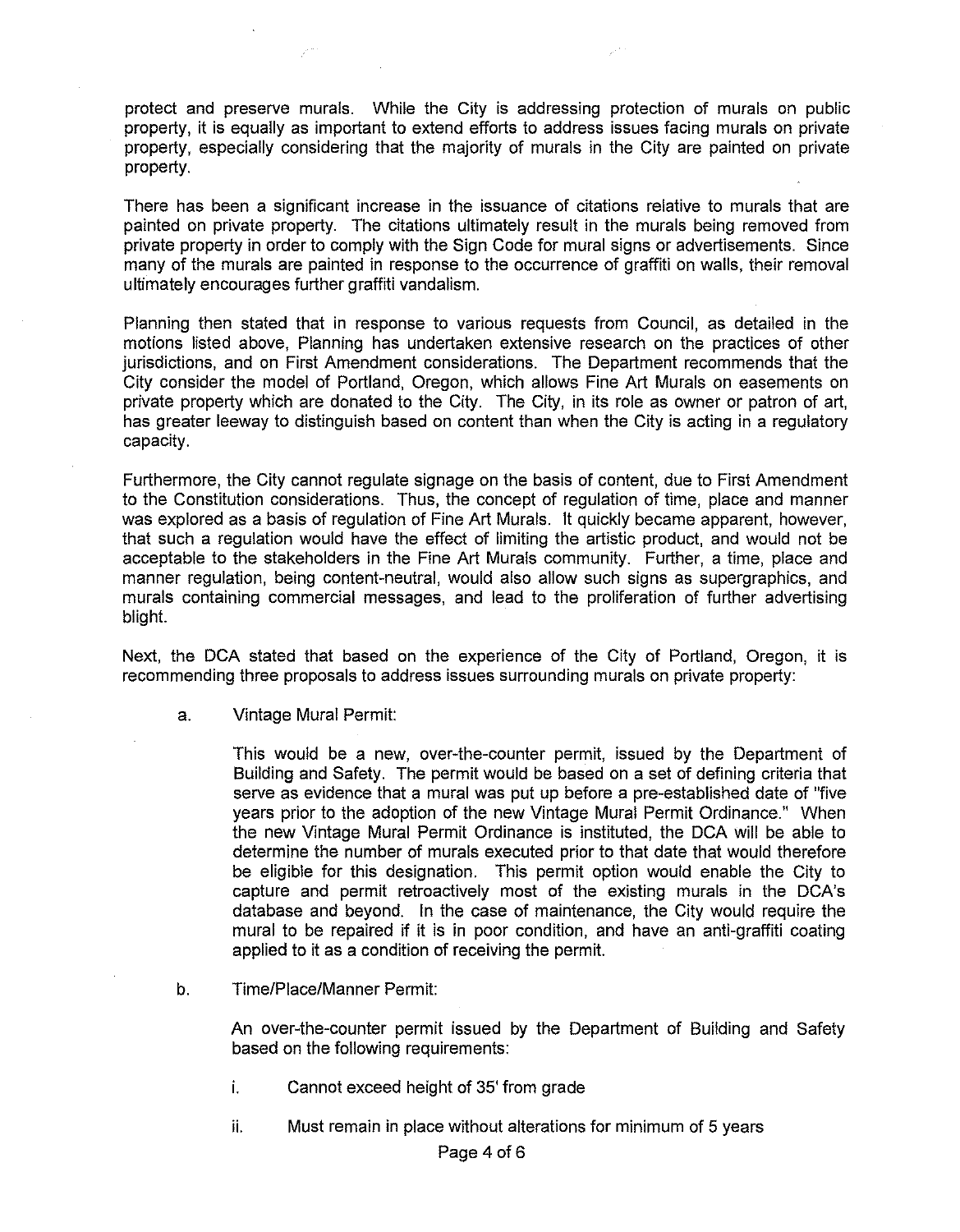protect and preserve murals. While the City is addressing protection of murals on public property, it is equally as important to extend efforts to address issues facing murals on private property, especially considering that the majority of murals in the City are painted on private property.

There has been a significant increase in the issuance of citations relative to murals that are painted on private property. The citations ultimately result in the murals being removed from private property in order to comply with the Sign Code for mural signs or advertisements. Since many of the murals are painted in response to the occurrence of graffiti on walls, their removal ultimately encourages further graffiti vandalism.

Planning then stated that in response to various requests from Council, as detailed in the motions listed above, Planning has undertaken extensive research on the practices of other jurisdictions, and on First Amendment considerations. The Department recommends that the City consider the model of Portland, Oregon, which allows Fine Art Murals on easements on private property which are donated to the City. The City, in its role as owner or patron of art, has greater leeway to distinguish based on content than when the City is acting in a regulatory capacity.

Furthermore, the City cannot regulate signage on the basis of content, due to First Amendment to the Constitution considerations. Thus, the concept of regulation of time, place and manner was explored as a basis of regulation of Fine Art Murals. It quickly became apparent, however, that such a regulation would have the effect of limiting the artistic product, and would not be acceptable to the stakeholders in the Fine Art Murals community. Further, a time, place and manner regulation, being content-neutral, would also allow such signs as supergraphics, and murals containing commercial messages, and lead to the proliferation of further advertising blight.

Next, the DCA stated that based on the experience of the City of Portland, Oregon, it is recommending three proposals to address issues surrounding murals on private property:

a. Vintage Mural Permit:

This would be a new, over-the-counter permit, issued by the Department of Building and Safety. The permit would be based on a set of defining criteria that serve as evidence that a mural was put up before a pre-established date of "five years prior to the adoption of the new Vintage Mural Permit Ordinance." When the new Vintage Mural Permit Ordinance is instituted, the DCA will be able to determine the number of murals executed prior to that date that would therefore be eligible for this designation. This permit option would enable the City to capture and permit retroactively most of the existing murals in the DCA's database and beyond. In the case of maintenance, the City would require the mural to be repaired if it is in poor condition, and have an anti-graffiti coating applied to it as a condition of receiving the permit.

b. Time/Place/Manner Permit:

An over-the-counter permit issued by the Department of Building and Safety based on the following requirements:

- i. Cannot exceed height of 35' from grade
- ii. Must remain in place without alterations for minimum of 5 years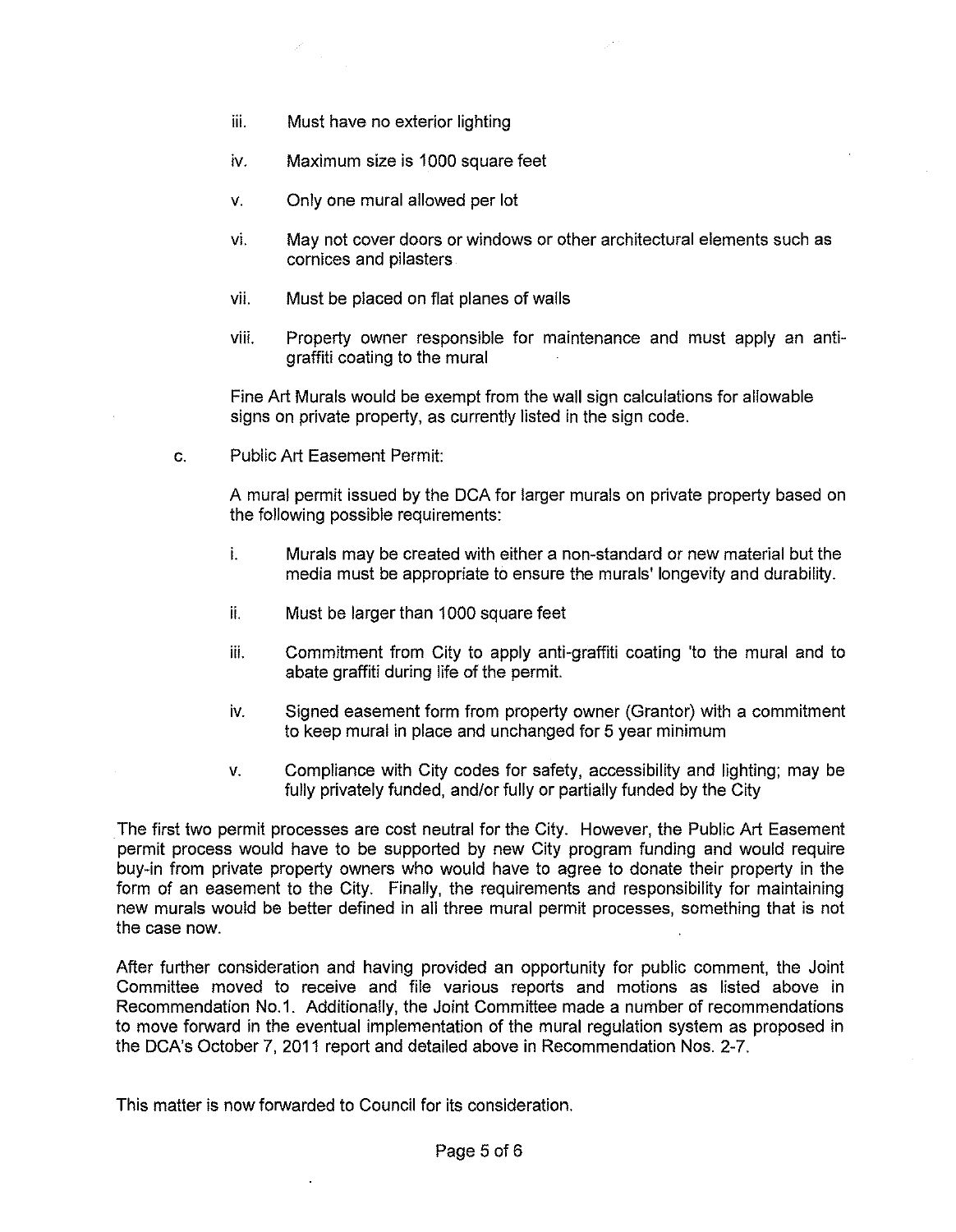iii. Must have no exterior lighting

 $Z_{\rm{max}}$ 

- iv. Maximum size is 1000 square feet
- v. Only one mural allowed per lot
- vi. May not cover doors or windows or other architectural elements such as cornices and pilasters
- vii. Must be placed on flat planes of walls
- viii. Property owner responsible for maintenance and must apply an antigraffiti coating to the mural

Fine Art Murals would be exempt from the wall sign calculations for allowable signs on private property, as currently listed in the sign code.

c. Public Art Easement Permit:

A mural permit issued by the DCA for larger murals on private property based on the following possible requirements:

- i. Murals may be created with either a non-standard or new material but the media must be appropriate to ensure the murals' longevity and durability.
- ii. Must be larger than 1000 square feet
- iii. Commitment from City to apply anti-graffiti coating 'to the mural and to abate graffiti during life of the permit.
- iv. Signed easement form from property owner (Grantor) with a commitment to keep mural in place and unchanged for 5 year minimum
- v. Compliance with City codes for safety, accessibility and lighting; may be fully privately funded, and/or fully or partially funded by the City

The first two permit processes are cost neutral for the City. However, the Public Art Easement permit process would have to be supported by new City program funding and would require buy-in from private property owners who would have to agree to donate their property in the form of an easement to the City. Finally, the requirements and responsibility for maintaining new murals would be better defined in all three mural permit processes, something that is not the case now.

After further consideration and having provided an opportunity for public comment, the Joint Committee moved to receive and file various reports and motions as listed above in Recommendation No.1. Additionally, the Joint Committee made a number of recommendations to move forward in the eventual implementation of the mural regulation system as proposed in the DCA's October 7, 2011 report and detailed above in Recommendation Nos. 2-7.

This matter is now forwarded to Council for its consideration.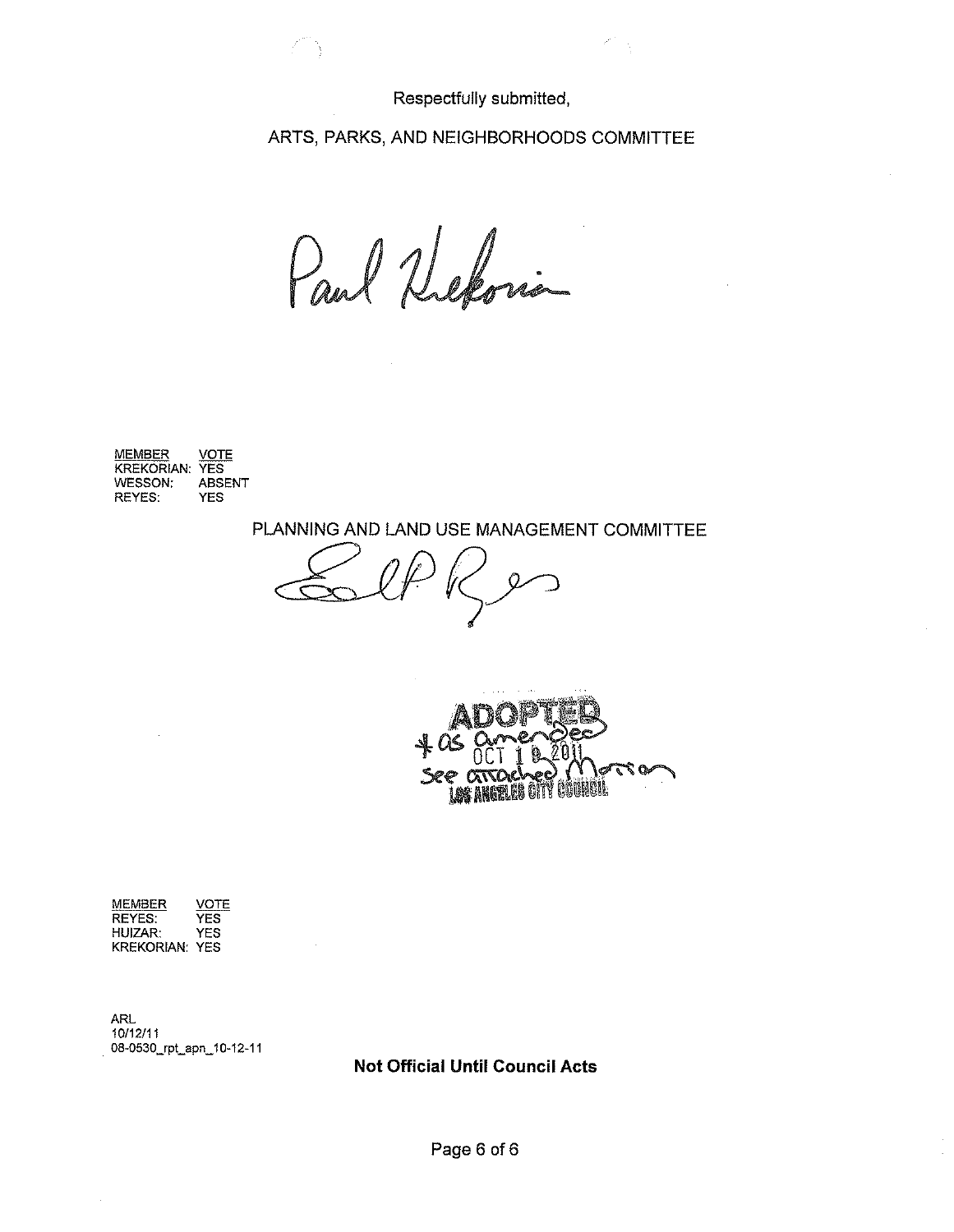Respectfully submitted,

 $\mathcal{P}^{\mathcal{C}}$ 

ARTS, PARKS, AND NEIGHBORHOODS COMMITIEE

Paul Refori

不守

MEMBER VOTE KREKORIAN: YES<br>WESSON: ABSENT WESSON: ABS<br>REYES: YES REYES:

PLANNING AND LAND USE MANAGEMENT COMMITTEE

 $E_{\mathcal{A}}$ 



MEMBER VOTE<br>REYES: YES REYES: YES<br>HUIZAR: YES HUIZAR: KREKORIAN: YES

ARL 10/12/11 08-0530\_rpt\_apn\_10-12-11

**Not Official Until Council Acts** 

 $\ddot{\phantom{a}}$